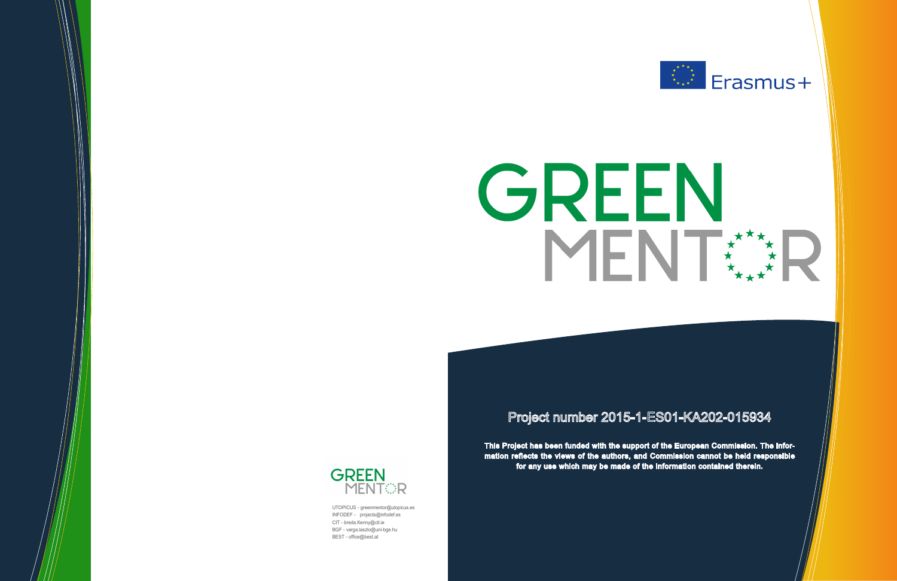# GREEN MENT

# Project number 2015-1-ES01-KA202-015934

This Project has been funded with the support of the European Commission. The Information reflects the views of the authors, and Commission cannot be held responsible for any use which may be made of the information contained therein.



UTOPICUS - greenmentor@utopicus.es INFODEF - projects@infodef.es CIT - breda.Kenny@cit.ie BGF - varga.laszlo@uni-bge.hu BEST - office@best.at